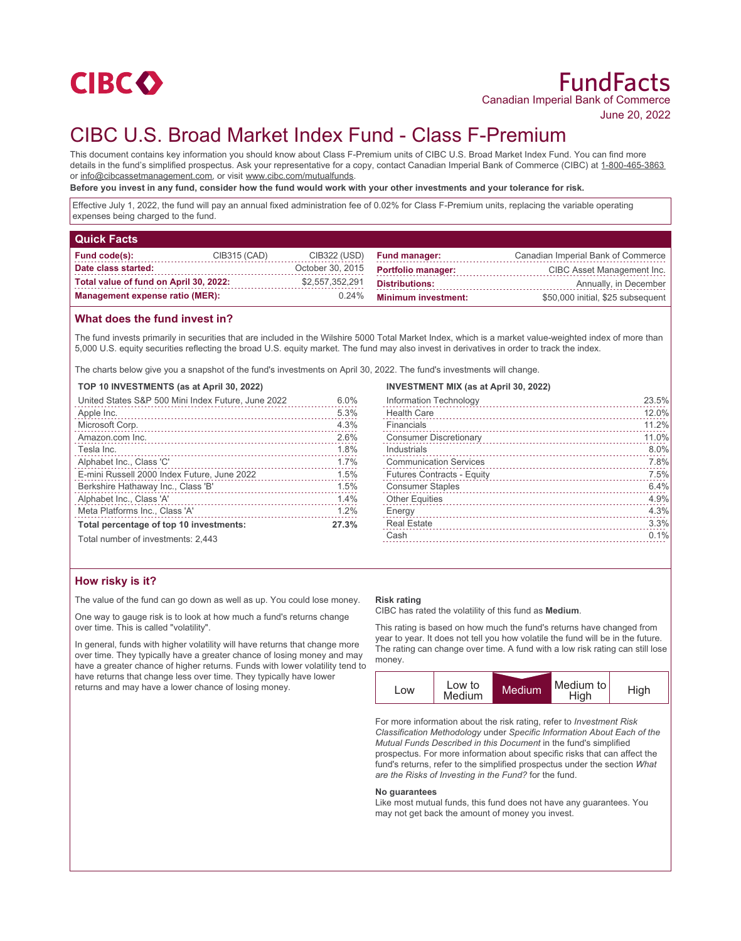

# FundFacts Canadian Imperial Bank of Commerce

June 20, 2022

# CIBC U.S. Broad Market Index Fund - Class F-Premium

This document contains key information you should know about Class F-Premium units of CIBC U.S. Broad Market Index Fund. You can find more details in the fund's simplified prospectus. Ask your representative for a copy, contact Canadian Imperial Bank of Commerce (CIBC) at 1-800-465-3863 or info@cibcassetmanagement.com, or visit www.cibc.com/mutualfunds.

**Before you invest in any fund, consider how the fund would work with your other investments and your tolerance for risk.**

Effective July 1, 2022, the fund will pay an annual fixed administration fee of 0.02% for Class F-Premium units, replacing the variable operating expenses being charged to the fund.

| <b>Quick Facts</b>                     |              |                  |                            |                                    |
|----------------------------------------|--------------|------------------|----------------------------|------------------------------------|
| Fund code(s):                          | CIB315 (CAD) | CIB322 (USD)     | <b>Fund manager:</b>       | Canadian Imperial Bank of Commerce |
| Date class started:                    |              | October 30, 2015 | <b>Portfolio manager:</b>  | CIBC Asset Management Inc.         |
| Total value of fund on April 30, 2022: |              | \$2.557.352.291  | <b>Distributions:</b>      | Annually, in December              |
| <b>Management expense ratio (MER):</b> |              | 0.24%            | <b>Minimum investment:</b> | \$50,000 initial, \$25 subsequent  |

## **What does the fund invest in?**

The fund invests primarily in securities that are included in the Wilshire 5000 Total Market Index, which is a market value-weighted index of more than 5,000 U.S. equity securities reflecting the broad U.S. equity market. The fund may also invest in derivatives in order to track the index.

The charts below give you a snapshot of the fund's investments on April 30, 2022. The fund's investments will change.

**TOP 10 INVESTMENTS (as at April 30, 2022)**

| United States S&P 500 Mini Index Future, June 2022 | 6.0%  |
|----------------------------------------------------|-------|
| Apple Inc.                                         | 5.3%  |
| Microsoft Corp.                                    | 4.3%  |
| Amazon.com Inc.                                    | 2.6%  |
| Tesla Inc.                                         | 1.8%  |
| Alphabet Inc., Class 'C'                           | 1.7%  |
| E-mini Russell 2000 Index Future, June 2022        | 1.5%  |
| Berkshire Hathaway Inc., Class 'B'                 | 1.5%  |
| Alphabet Inc., Class 'A'                           | 1.4%  |
| Meta Platforms Inc., Class 'A'                     | 1.2%  |
| Total percentage of top 10 investments:            | 27.3% |
| Total number of investments: 2,443                 |       |

# **How risky is it?**

The value of the fund can go down as well as up. You could lose money.

One way to gauge risk is to look at how much a fund's returns change over time. This is called "volatility".

In general, funds with higher volatility will have returns that change more over time. They typically have a greater chance of losing money and may have a greater chance of higher returns. Funds with lower volatility tend to have returns that change less over time. They typically have lower returns and may have a lower chance of losing money.

#### **INVESTMENT MIX (as at April 30, 2022)**

| Information Technology        | 23.5% |
|-------------------------------|-------|
| <b>Health Care</b>            | 12.0% |
| Financials                    | 11.2% |
| <b>Consumer Discretionary</b> | 11.0% |
| Industrials                   | 8.0%  |
| <b>Communication Services</b> | 7.8%  |
| Futures Contracts - Equity    | 7.5%  |
| <b>Consumer Staples</b>       | 6.4%  |
| <b>Other Equities</b>         | 4.9%  |
| Energy                        | 4.3%  |
| <b>Real Estate</b>            | 3.3%  |
| Cash                          | 0.1%  |
|                               |       |

#### **Risk rating**

CIBC has rated the volatility of this fund as **Medium**.

This rating is based on how much the fund's returns have changed from year to year. It does not tell you how volatile the fund will be in the future. The rating can change over time. A fund with a low risk rating can still lose money.



For more information about the risk rating, refer to *Investment Risk Classification Methodology* under *Specific Information About Each of the Mutual Funds Described in this Document* in the fund's simplified prospectus. For more information about specific risks that can affect the fund's returns, refer to the simplified prospectus under the section *What are the Risks of Investing in the Fund?* for the fund.

#### **No guarantees**

Like most mutual funds, this fund does not have any guarantees. You may not get back the amount of money you invest.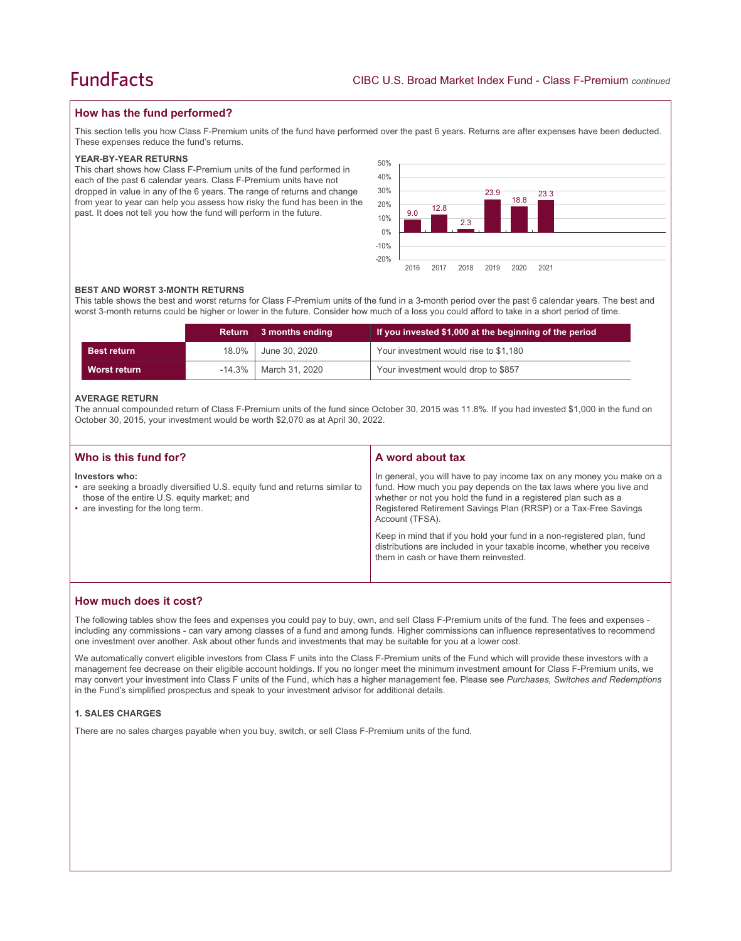# **How has the fund performed?**

This section tells you how Class F-Premium units of the fund have performed over the past 6 years. Returns are after expenses have been deducted. These expenses reduce the fund's returns.

#### **YEAR-BY-YEAR RETURNS**

This chart shows how Class F-Premium units of the fund performed in each of the past 6 calendar years. Class F-Premium units have not dropped in value in any of the 6 years. The range of returns and change from year to year can help you assess how risky the fund has been in the past. It does not tell you how the fund will perform in the future.



#### **BEST AND WORST 3-MONTH RETURNS**

This table shows the best and worst returns for Class F-Premium units of the fund in a 3-month period over the past 6 calendar years. The best and worst 3-month returns could be higher or lower in the future. Consider how much of a loss you could afford to take in a short period of time.

|                    |           | Return 3 months ending | If you invested \$1,000 at the beginning of the period |
|--------------------|-----------|------------------------|--------------------------------------------------------|
| <b>Best return</b> | 18.0%     | June 30, 2020          | Your investment would rise to \$1,180                  |
| Worst return       | $-14.3\%$ | March 31, 2020         | Your investment would drop to \$857                    |

#### **AVERAGE RETURN**

The annual compounded return of Class F-Premium units of the fund since October 30, 2015 was 11.8%. If you had invested \$1,000 in the fund on October 30, 2015, your investment would be worth \$2,070 as at April 30, 2022.

| Who is this fund for?                                                                                                                                                              | A word about tax                                                                                                                                                                                                                                                                                     |  |
|------------------------------------------------------------------------------------------------------------------------------------------------------------------------------------|------------------------------------------------------------------------------------------------------------------------------------------------------------------------------------------------------------------------------------------------------------------------------------------------------|--|
| Investors who:<br>• are seeking a broadly diversified U.S. equity fund and returns similar to<br>those of the entire U.S. equity market; and<br>• are investing for the long term. | In general, you will have to pay income tax on any money you make on a<br>fund. How much you pay depends on the tax laws where you live and<br>whether or not you hold the fund in a registered plan such as a<br>Registered Retirement Savings Plan (RRSP) or a Tax-Free Savings<br>Account (TFSA). |  |
|                                                                                                                                                                                    | Keep in mind that if you hold your fund in a non-registered plan, fund<br>distributions are included in your taxable income, whether you receive<br>them in cash or have them reinvested.                                                                                                            |  |

## **How much does it cost?**

The following tables show the fees and expenses you could pay to buy, own, and sell Class F-Premium units of the fund. The fees and expenses including any commissions - can vary among classes of a fund and among funds. Higher commissions can influence representatives to recommend one investment over another. Ask about other funds and investments that may be suitable for you at a lower cost.

We automatically convert eligible investors from Class F units into the Class F-Premium units of the Fund which will provide these investors with a management fee decrease on their eligible account holdings. If you no longer meet the minimum investment amount for Class F-Premium units, we may convert your investment into Class F units of the Fund, which has a higher management fee. Please see *Purchases, Switches and Redemptions* in the Fund's simplified prospectus and speak to your investment advisor for additional details.

#### **1. SALES CHARGES**

There are no sales charges payable when you buy, switch, or sell Class F-Premium units of the fund.